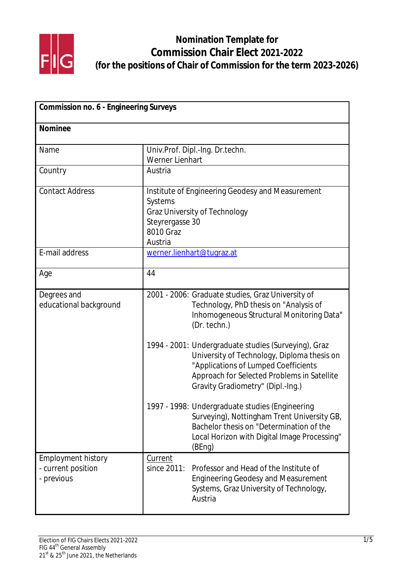

| <b>Commission no. 6 - Engineering Surveys</b>                 |                                                                                                                                                                                                                                 |
|---------------------------------------------------------------|---------------------------------------------------------------------------------------------------------------------------------------------------------------------------------------------------------------------------------|
| <b>Nominee</b>                                                |                                                                                                                                                                                                                                 |
| Name                                                          | Univ.Prof. Dipl.-Ing. Dr.techn.<br><b>Werner Lienhart</b>                                                                                                                                                                       |
| Country                                                       | Austria                                                                                                                                                                                                                         |
| <b>Contact Address</b>                                        | Institute of Engineering Geodesy and Measurement<br>Systems<br><b>Graz University of Technology</b><br>Steyrergasse 30<br>8010 Graz<br>Austria                                                                                  |
| E-mail address                                                | werner.lienhart@tugraz.at                                                                                                                                                                                                       |
| Age                                                           | 44                                                                                                                                                                                                                              |
| Degrees and<br>educational background                         | 2001 - 2006: Graduate studies, Graz University of<br>Technology, PhD thesis on "Analysis of<br>Inhomogeneous Structural Monitoring Data"<br>(Dr. techn.)                                                                        |
|                                                               | 1994 - 2001: Undergraduate studies (Surveying), Graz<br>University of Technology, Diploma thesis on<br>"Applications of Lumped Coefficients<br>Approach for Selected Problems in Satellite<br>Gravity Gradiometry" (Dipl.-Ing.) |
|                                                               | 1997 - 1998: Undergraduate studies (Engineering<br>Surveying), Nottingham Trent University GB,<br>Bachelor thesis on "Determination of the<br>Local Horizon with Digital Image Processing"<br>(BEng)                            |
| <b>Employment history</b><br>- current position<br>- previous | Current<br>since 2011:<br>Professor and Head of the Institute of<br><b>Engineering Geodesy and Measurement</b><br>Systems, Graz University of Technology,<br>Austria                                                            |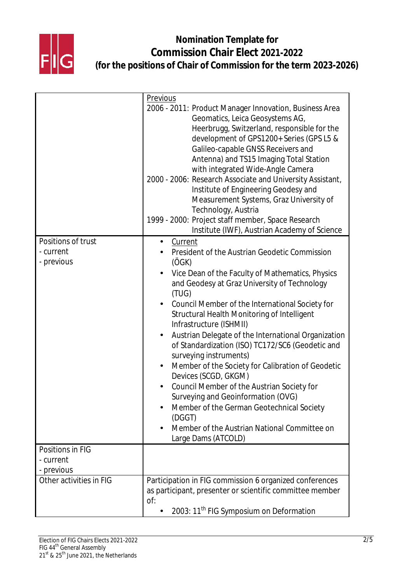

|                         | <b>Previous</b>                                                                                                                                                                                                                                                                                                                                                                                                                                                                                                                                                                                                                                                                                                                                                                     |
|-------------------------|-------------------------------------------------------------------------------------------------------------------------------------------------------------------------------------------------------------------------------------------------------------------------------------------------------------------------------------------------------------------------------------------------------------------------------------------------------------------------------------------------------------------------------------------------------------------------------------------------------------------------------------------------------------------------------------------------------------------------------------------------------------------------------------|
|                         | 2006 - 2011: Product Manager Innovation, Business Area<br>Geomatics, Leica Geosystems AG,<br>Heerbrugg, Switzerland, responsible for the<br>development of GPS1200+ Series (GPS L5 &<br>Galileo-capable GNSS Receivers and<br>Antenna) and TS15 Imaging Total Station<br>with integrated Wide-Angle Camera<br>2000 - 2006: Research Associate and University Assistant,<br>Institute of Engineering Geodesy and<br>Measurement Systems, Graz University of<br>Technology, Austria<br>1999 - 2000: Project staff member, Space Research<br>Institute (IWF), Austrian Academy of Science                                                                                                                                                                                              |
| Positions of trust      | <b>Current</b><br>$\bullet$                                                                                                                                                                                                                                                                                                                                                                                                                                                                                                                                                                                                                                                                                                                                                         |
| - current<br>- previous | <b>President of the Austrian Geodetic Commission</b><br>(ÖGK)<br>Vice Dean of the Faculty of Mathematics, Physics<br>and Geodesy at Graz University of Technology<br>(TUG)<br>Council Member of the International Society for<br><b>Structural Health Monitoring of Intelligent</b><br>Infrastructure (ISHMII)<br>Austrian Delegate of the International Organization<br>$\bullet$<br>of Standardization (ISO) TC172/SC6 (Geodetic and<br>surveying instruments)<br>Member of the Society for Calibration of Geodetic<br>$\bullet$<br>Devices (SCGD, GKGM)<br>Council Member of the Austrian Society for<br><b>Surveying and Geoinformation (OVG)</b><br>Member of the German Geotechnical Society<br>(DGGT)<br>Member of the Austrian National Committee on<br>Large Dams (ATCOLD) |
| <b>Positions in FIG</b> |                                                                                                                                                                                                                                                                                                                                                                                                                                                                                                                                                                                                                                                                                                                                                                                     |
| - current               |                                                                                                                                                                                                                                                                                                                                                                                                                                                                                                                                                                                                                                                                                                                                                                                     |
| - previous              |                                                                                                                                                                                                                                                                                                                                                                                                                                                                                                                                                                                                                                                                                                                                                                                     |
| Other activities in FIG | Participation in FIG commission 6 organized conferences<br>as participant, presenter or scientific committee member<br>of:<br>2003: 11 <sup>th</sup> FIG Symposium on Deformation                                                                                                                                                                                                                                                                                                                                                                                                                                                                                                                                                                                                   |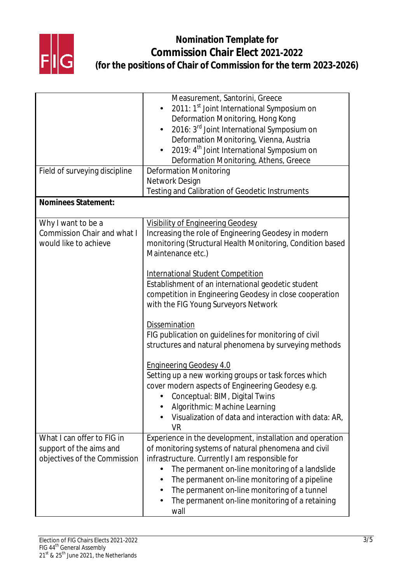

|                                    | Measurement, Santorini, Greece                                                 |
|------------------------------------|--------------------------------------------------------------------------------|
|                                    | 2011: 1 <sup>st</sup> Joint International Symposium on                         |
|                                    | Deformation Monitoring, Hong Kong                                              |
|                                    | 2016: 3 <sup>rd</sup> Joint International Symposium on                         |
|                                    | Deformation Monitoring, Vienna, Austria                                        |
|                                    | 2019: 4 <sup>th</sup> Joint International Symposium on                         |
|                                    | Deformation Monitoring, Athens, Greece                                         |
| Field of surveying discipline      | <b>Deformation Monitoring</b>                                                  |
|                                    | <b>Network Design</b>                                                          |
|                                    | Testing and Calibration of Geodetic Instruments                                |
| <b>Nominees Statement:</b>         |                                                                                |
|                                    |                                                                                |
| Why I want to be a                 | <b>Visibility of Engineering Geodesy</b>                                       |
| <b>Commission Chair and what I</b> | Increasing the role of Engineering Geodesy in modern                           |
| would like to achieve              | monitoring (Structural Health Monitoring, Condition based<br>Maintenance etc.) |
|                                    |                                                                                |
|                                    | <b>International Student Competition</b>                                       |
|                                    | Establishment of an international geodetic student                             |
|                                    | competition in Engineering Geodesy in close cooperation                        |
|                                    | with the FIG Young Surveyors Network                                           |
|                                    |                                                                                |
|                                    | <b>Dissemination</b>                                                           |
|                                    | FIG publication on guidelines for monitoring of civil                          |
|                                    | structures and natural phenomena by surveying methods                          |
|                                    |                                                                                |
|                                    | <b>Engineering Geodesy 4.0</b>                                                 |
|                                    | Setting up a new working groups or task forces which                           |
|                                    | cover modern aspects of Engineering Geodesy e.g.                               |
|                                    | Conceptual: BIM, Digital Twins                                                 |
|                                    | <b>Algorithmic: Machine Learning</b>                                           |
|                                    | Visualization of data and interaction with data: AR,                           |
|                                    | <b>VR</b>                                                                      |
| What I can offer to FIG in         | Experience in the development, installation and operation                      |
| support of the aims and            | of monitoring systems of natural phenomena and civil                           |
| objectives of the Commission       | infrastructure. Currently I am responsible for                                 |
|                                    | The permanent on-line monitoring of a landslide                                |
|                                    | The permanent on-line monitoring of a pipeline                                 |
|                                    | The permanent on-line monitoring of a tunnel                                   |
|                                    | The permanent on-line monitoring of a retaining                                |
|                                    | wall                                                                           |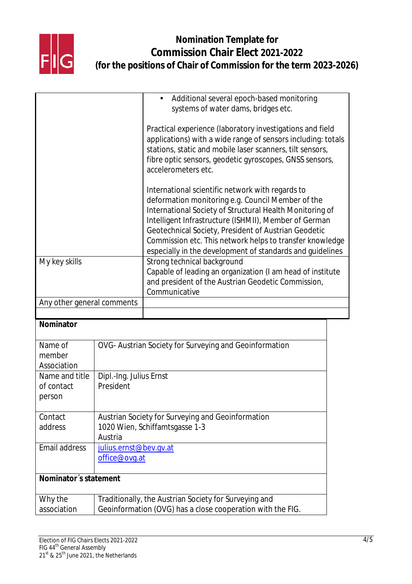

|                                        |                                                                                                       | Additional several epoch-based monitoring<br>$\bullet$                                                                                                                                                                                                                                                                                                                                                      |
|----------------------------------------|-------------------------------------------------------------------------------------------------------|-------------------------------------------------------------------------------------------------------------------------------------------------------------------------------------------------------------------------------------------------------------------------------------------------------------------------------------------------------------------------------------------------------------|
|                                        |                                                                                                       | systems of water dams, bridges etc.                                                                                                                                                                                                                                                                                                                                                                         |
|                                        |                                                                                                       | Practical experience (laboratory investigations and field<br>applications) with a wide range of sensors including: totals<br>stations, static and mobile laser scanners, tilt sensors,<br>fibre optic sensors, geodetic gyroscopes, GNSS sensors,<br>accelerometers etc.                                                                                                                                    |
|                                        |                                                                                                       | International scientific network with regards to<br>deformation monitoring e.g. Council Member of the<br>International Society of Structural Health Monitoring of<br>Intelligent Infrastructure (ISHMII), Member of German<br>Geotechnical Society, President of Austrian Geodetic<br>Commission etc. This network helps to transfer knowledge<br>especially in the development of standards and quidelines |
| My key skills                          |                                                                                                       | Strong technical background<br>Capable of leading an organization (I am head of institute<br>and president of the Austrian Geodetic Commission,<br>Communicative                                                                                                                                                                                                                                            |
| Any other general comments             |                                                                                                       |                                                                                                                                                                                                                                                                                                                                                                                                             |
|                                        |                                                                                                       |                                                                                                                                                                                                                                                                                                                                                                                                             |
| Nominator                              |                                                                                                       |                                                                                                                                                                                                                                                                                                                                                                                                             |
| Name of<br>member<br>Association       |                                                                                                       | OVG- Austrian Society for Surveying and Geoinformation                                                                                                                                                                                                                                                                                                                                                      |
| Name and title<br>of contact<br>person | Dipl.-Ing. Julius Ernst<br>President                                                                  |                                                                                                                                                                                                                                                                                                                                                                                                             |
| Contact<br>address                     | <b>Austrian Society for Surveying and Geoinformation</b><br>1020 Wien, Schiffamtsgasse 1-3<br>Austria |                                                                                                                                                                                                                                                                                                                                                                                                             |
| <b>Email address</b>                   | julius.ernst@bev.qv.at<br>office@ovq.at                                                               |                                                                                                                                                                                                                                                                                                                                                                                                             |
| Nominator's statement                  |                                                                                                       |                                                                                                                                                                                                                                                                                                                                                                                                             |
| Why the                                | Traditionally, the Austrian Society for Surveying and                                                 |                                                                                                                                                                                                                                                                                                                                                                                                             |
| association                            | Geoinformation (OVG) has a close cooperation with the FIG.                                            |                                                                                                                                                                                                                                                                                                                                                                                                             |